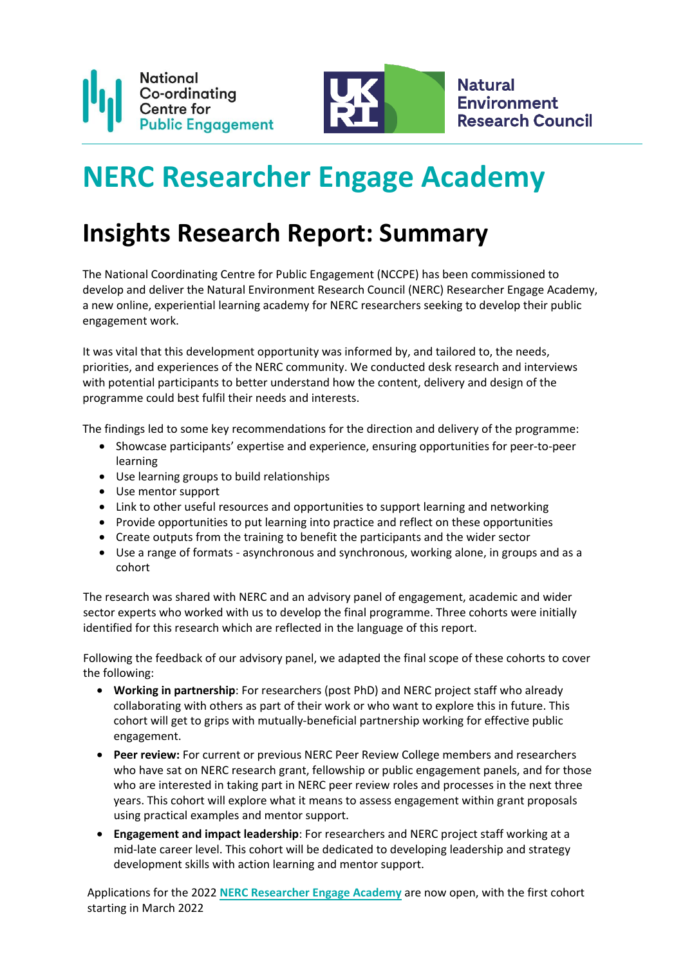

# **NERC Researcher Engage Academy**

## **Insights Research Report: Summary**

The National Coordinating Centre for Public Engagement (NCCPE) has been commissioned to develop and deliver the Natural Environment Research Council (NERC) Researcher Engage Academy, a new online, experiential learning academy for NERC researchers seeking to develop their public engagement work.

It was vital that this development opportunity was informed by, and tailored to, the needs, priorities, and experiences of the NERC community. We conducted desk research and interviews with potential participants to better understand how the content, delivery and design of the [programme could best fulfil their need](https://www.publicengagement.ac.uk/nccpe-projects-and-services/professional-development/nerc-researcher-engage-academy)s and interests.

The findings led to some key recommendations for the direction and delivery of the programme:

- Showcase participants' expertise and experience, ensuring opportunities for peer-to-peer learning
- Use learning groups to build relationships
- Use mentor support
- Link to other useful resources and opportunities to support learning and networking
- Provide opportunities to put learning into practice and reflect on these opportunities
- Create outputs from the training to benefit the participants and the wider sector
- Use a range of formats asynchronous and synchronous, working alone, in groups and as a cohort

The research was shared with NERC and an advisory panel of engagement, academic and wider sector experts who worked with us to develop the final programme. Three cohorts were initially identified for this research which are reflected in the language of this report.

Following the feedback of our advisory panel, we adapted the final scope of these cohorts to cover the following:

- **Working in partnership**: For researchers (post PhD) and NERC project staff who already collaborating with others as part of their work or who want to explore this in future. This cohort will get to grips with mutually-beneficial partnership working for effective public engagement.
- **Peer review:** For current or previous NERC Peer Review College members and researchers who have sat on NERC research grant, fellowship or public engagement panels, and for those who are interested in taking part in NERC peer review roles and processes in the next three years. This cohort will explore what it means to assess engagement within grant proposals using practical examples and mentor support.
- **Engagement and impact leadership**: For researchers and NERC project staff working at a mid-late career level. This cohort will be dedicated to developing leadership and strategy development skills with action learning and mentor support.

Applications for the 2022 **[NERC Researcher Engage Academy](https://www.publicengagement.ac.uk/nccpe-projects-and-services/professional-development/nerc-researcher-engage-academy)** are now open, with the first cohort starting in March 2022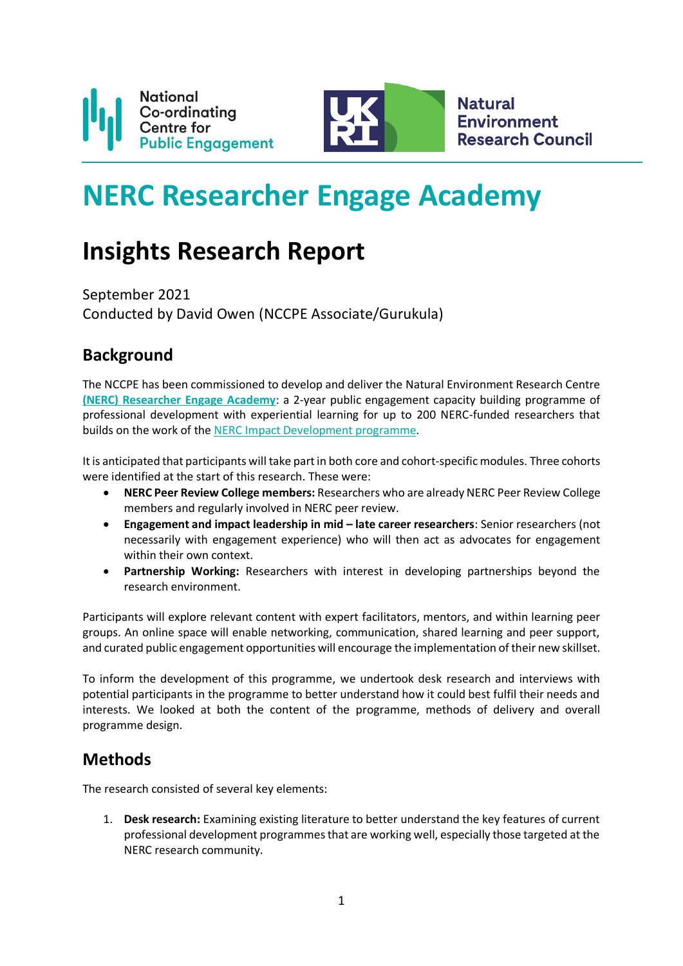

**Natural Environment Research Council** 

# **NERC Researcher Engage Academy**

## **Insights Research Report**

September 2021 Conducted by David Owen (NCCPE Associate/Gurukula)

## **Background**

The NCCPE has been commissioned to develop and deliver the Natural Environment Research Centre **(NERC) [Researcher Engage Academy](https://www.publicengagement.ac.uk/nccpe-projects-and-services/professional-development/nerc-researcher-engage-academy)**: a 2-year public engagement capacity building programme of professional development with experiential learning for up to 200 NERC-funded researchers that builds on the work of th[e NERC Impact Development programme.](https://www.publicengagement.ac.uk/nccpe-projects-and-services/professional-development/nerc-impact-development-programme)

It is anticipated that participants will take part in both core and cohort-specific modules. Three cohorts were identified at the start of this research. These were:

- **NERC Peer Review College members:** Researchers who are already NERC Peer Review College members and regularly involved in NERC peer review.
- **Engagement and impact leadership in mid – late career researchers**: Senior researchers (not necessarily with engagement experience) who will then act as advocates for engagement within their own context.
- **Partnership Working:** Researchers with interest in developing partnerships beyond the research environment.

Participants will explore relevant content with expert facilitators, mentors, and within learning peer groups. An online space will enable networking, communication, shared learning and peer support, and curated public engagement opportunities will encourage the implementation of their new skillset.

To inform the development of this programme, we undertook desk research and interviews with potential participants in the programme to better understand how it could best fulfil their needs and interests. We looked at both the content of the programme, methods of delivery and overall programme design.

## **Methods**

The research consisted of several key elements:

1. **Desk research:** Examining existing literature to better understand the key features of current professional development programmes that are working well, especially those targeted at the NERC research community.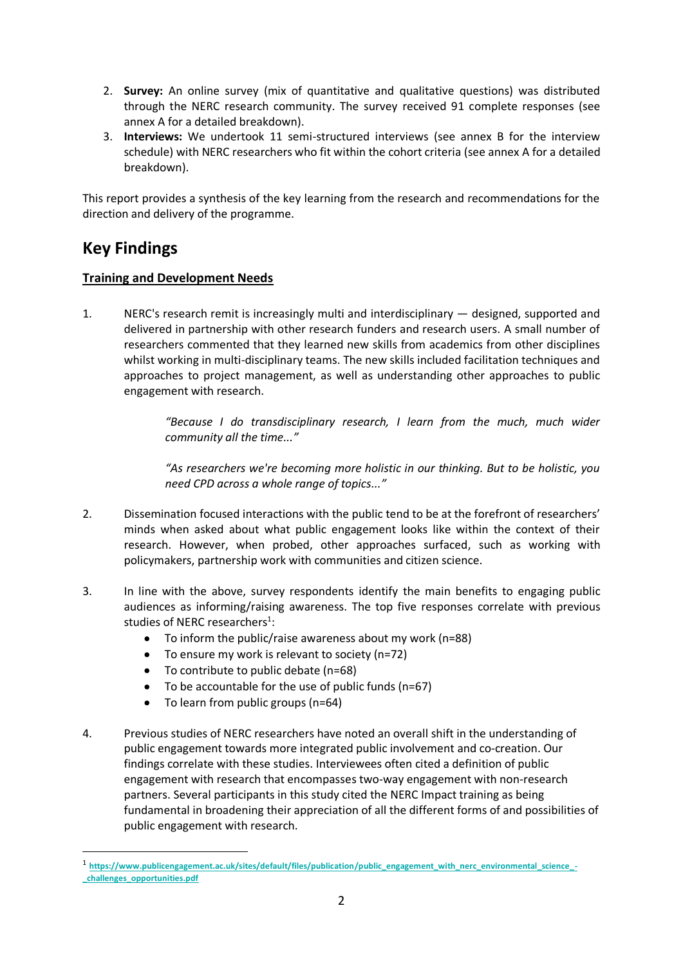- 2. **Survey:** An online survey (mix of quantitative and qualitative questions) was distributed through the NERC research community. The survey received 91 complete responses (see annex A for a detailed breakdown).
- 3. **Interviews:** We undertook 11 semi-structured interviews (see annex B for the interview schedule) with NERC researchers who fit within the cohort criteria (see annex A for a detailed breakdown).

This report provides a synthesis of the key learning from the research and recommendations for the direction and delivery of the programme.

## **Key Findings**

#### **Training and Development Needs**

1. NERC's research remit is increasingly multi and interdisciplinary — designed, supported and delivered in partnership with other research funders and research users. A small number of researchers commented that they learned new skills from academics from other disciplines whilst working in multi-disciplinary teams. The new skills included facilitation techniques and approaches to project management, as well as understanding other approaches to public engagement with research.

> *"Because I do transdisciplinary research, I learn from the much, much wider community all the time..."*

> *"As researchers we're becoming more holistic in our thinking. But to be holistic, you need CPD across a whole range of topics..."*

- 2. Dissemination focused interactions with the public tend to be at the forefront of researchers' minds when asked about what public engagement looks like within the context of their research. However, when probed, other approaches surfaced, such as working with policymakers, partnership work with communities and citizen science.
- 3. In line with the above, survey respondents identify the main benefits to engaging public audiences as informing/raising awareness. The top five responses correlate with previous studies of NERC researchers<sup>1</sup>:
	- To inform the public/raise awareness about my work (n=88)
	- To ensure my work is relevant to society (n=72)
	- To contribute to public debate (n=68)
	- To be accountable for the use of public funds (n=67)
	- To learn from public groups (n=64)
- 4. Previous studies of NERC researchers have noted an overall shift in the understanding of public engagement towards more integrated public involvement and co-creation. Our findings correlate with these studies. Interviewees often cited a definition of public engagement with research that encompasses two-way engagement with non-research partners. Several participants in this study cited the NERC Impact training as being fundamental in broadening their appreciation of all the different forms of and possibilities of public engagement with research.

<sup>1</sup> [https://www.publicengagement.ac.uk/sites/default/files/publication/public\\_engagement\\_with\\_nerc\\_environmental\\_science\\_-](https://www.publicengagement.ac.uk/sites/default/files/publication/public_engagement_with_nerc_environmental_science_-_challenges_opportunities.pdf) **[\\_challenges\\_opportunities.pdf](https://www.publicengagement.ac.uk/sites/default/files/publication/public_engagement_with_nerc_environmental_science_-_challenges_opportunities.pdf)**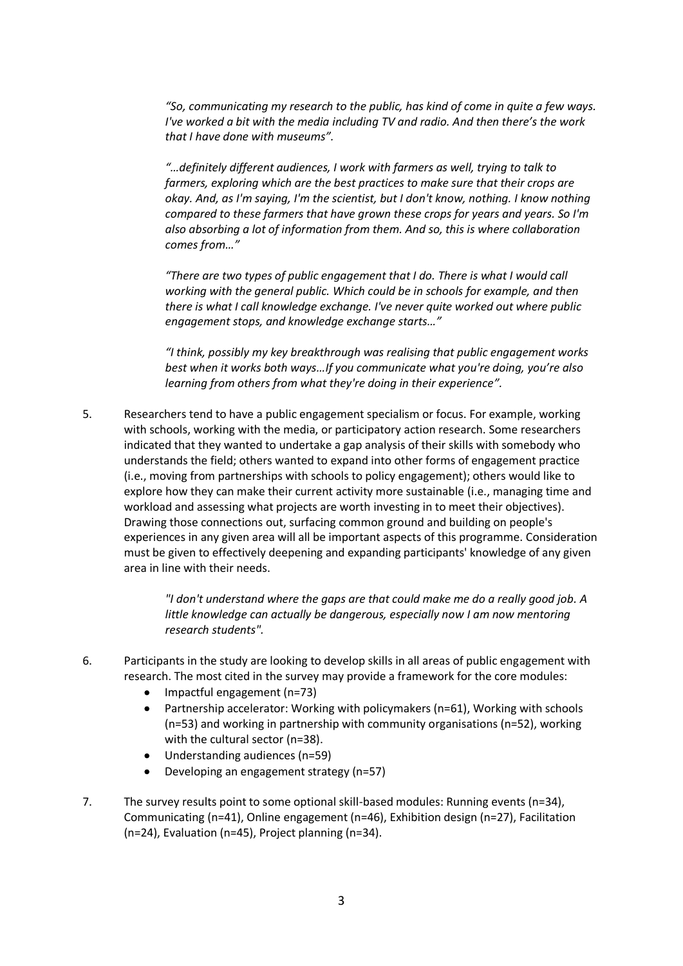*"So, communicating my research to the public, has kind of come in quite a few ways. I've worked a bit with the media including TV and radio. And then there's the work that I have done with museums".*

*"…definitely different audiences, I work with farmers as well, trying to talk to farmers, exploring which are the best practices to make sure that their crops are okay. And, as I'm saying, I'm the scientist, but I don't know, nothing. I know nothing compared to these farmers that have grown these crops for years and years. So I'm also absorbing a lot of information from them. And so, this is where collaboration comes from…"*

*"There are two types of public engagement that I do. There is what I would call working with the general public. Which could be in schools for example, and then there is what I call knowledge exchange. I've never quite worked out where public engagement stops, and knowledge exchange starts…"*

*"I think, possibly my key breakthrough was realising that public engagement works best when it works both ways…If you communicate what you're doing, you're also learning from others from what they're doing in their experience".*

5. Researchers tend to have a public engagement specialism or focus. For example, working with schools, working with the media, or participatory action research. Some researchers indicated that they wanted to undertake a gap analysis of their skills with somebody who understands the field; others wanted to expand into other forms of engagement practice (i.e., moving from partnerships with schools to policy engagement); others would like to explore how they can make their current activity more sustainable (i.e., managing time and workload and assessing what projects are worth investing in to meet their objectives). Drawing those connections out, surfacing common ground and building on people's experiences in any given area will all be important aspects of this programme. Consideration must be given to effectively deepening and expanding participants' knowledge of any given area in line with their needs.

> *"I don't understand where the gaps are that could make me do a really good job. A little knowledge can actually be dangerous, especially now I am now mentoring research students".*

- 6. Participants in the study are looking to develop skills in all areas of public engagement with research. The most cited in the survey may provide a framework for the core modules:
	- Impactful engagement (n=73)
	- Partnership accelerator: Working with policymakers (n=61), Working with schools (n=53) and working in partnership with community organisations (n=52), working with the cultural sector (n=38).
	- Understanding audiences (n=59)
	- Developing an engagement strategy (n=57)
- 7. The survey results point to some optional skill-based modules: Running events (n=34), Communicating (n=41), Online engagement (n=46), Exhibition design (n=27), Facilitation (n=24), Evaluation (n=45), Project planning (n=34).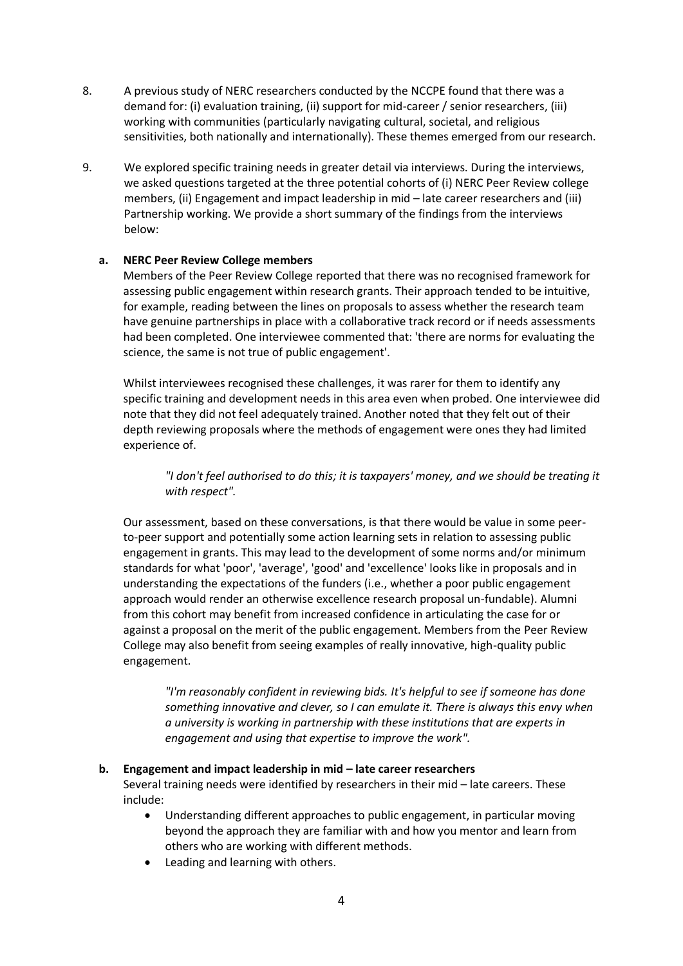- 8. A previous study of NERC researchers conducted by the NCCPE found that there was a demand for: (i) evaluation training, (ii) support for mid-career / senior researchers, (iii) working with communities (particularly navigating cultural, societal, and religious sensitivities, both nationally and internationally). These themes emerged from our research.
- 9. We explored specific training needs in greater detail via interviews. During the interviews, we asked questions targeted at the three potential cohorts of (i) NERC Peer Review college members, (ii) Engagement and impact leadership in mid – late career researchers and (iii) Partnership working. We provide a short summary of the findings from the interviews below:

#### **a. NERC Peer Review College members**

Members of the Peer Review College reported that there was no recognised framework for assessing public engagement within research grants. Their approach tended to be intuitive, for example, reading between the lines on proposals to assess whether the research team have genuine partnerships in place with a collaborative track record or if needs assessments had been completed. One interviewee commented that: 'there are norms for evaluating the science, the same is not true of public engagement'.

Whilst interviewees recognised these challenges, it was rarer for them to identify any specific training and development needs in this area even when probed. One interviewee did note that they did not feel adequately trained. Another noted that they felt out of their depth reviewing proposals where the methods of engagement were ones they had limited experience of.

*"I don't feel authorised to do this; it is taxpayers' money, and we should be treating it with respect".*

Our assessment, based on these conversations, is that there would be value in some peerto-peer support and potentially some action learning sets in relation to assessing public engagement in grants. This may lead to the development of some norms and/or minimum standards for what 'poor', 'average', 'good' and 'excellence' looks like in proposals and in understanding the expectations of the funders (i.e., whether a poor public engagement approach would render an otherwise excellence research proposal un-fundable). Alumni from this cohort may benefit from increased confidence in articulating the case for or against a proposal on the merit of the public engagement. Members from the Peer Review College may also benefit from seeing examples of really innovative, high-quality public engagement.

*"I'm reasonably confident in reviewing bids. It's helpful to see if someone has done something innovative and clever, so I can emulate it. There is always this envy when a university is working in partnership with these institutions that are experts in engagement and using that expertise to improve the work".* 

#### **b. Engagement and impact leadership in mid – late career researchers**

Several training needs were identified by researchers in their mid – late careers. These include:

- Understanding different approaches to public engagement, in particular moving beyond the approach they are familiar with and how you mentor and learn from others who are working with different methods.
- Leading and learning with others.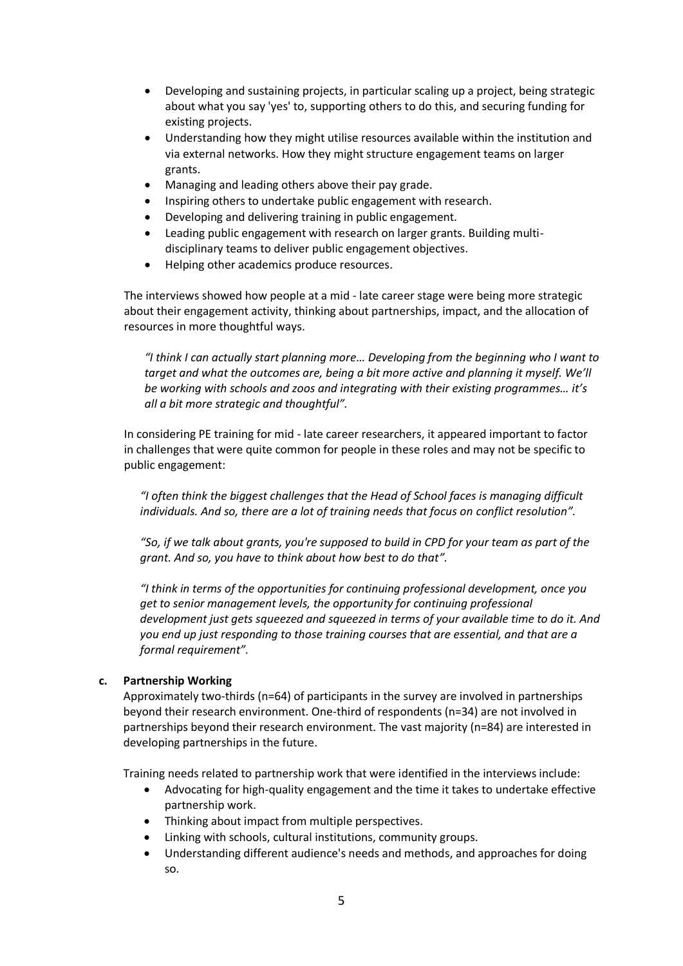- Developing and sustaining projects, in particular scaling up a project, being strategic about what you say 'yes' to, supporting others to do this, and securing funding for existing projects.
- Understanding how they might utilise resources available within the institution and via external networks. How they might structure engagement teams on larger grants.
- Managing and leading others above their pay grade.
- Inspiring others to undertake public engagement with research.
- Developing and delivering training in public engagement.
- Leading public engagement with research on larger grants. Building multidisciplinary teams to deliver public engagement objectives.
- Helping other academics produce resources.

The interviews showed how people at a mid - late career stage were being more strategic about their engagement activity, thinking about partnerships, impact, and the allocation of resources in more thoughtful ways.

*"I think I can actually start planning more… Developing from the beginning who I want to target and what the outcomes are, being a bit more active and planning it myself. We'll be working with schools and zoos and integrating with their existing programmes… it's all a bit more strategic and thoughtful".*

In considering PE training for mid - late career researchers, it appeared important to factor in challenges that were quite common for people in these roles and may not be specific to public engagement:

*"I often think the biggest challenges that the Head of School faces is managing difficult individuals. And so, there are a lot of training needs that focus on conflict resolution".*

*"So, if we talk about grants, you're supposed to build in CPD for your team as part of the grant. And so, you have to think about how best to do that".*

*"I think in terms of the opportunities for continuing professional development, once you get to senior management levels, the opportunity for continuing professional development just gets squeezed and squeezed in terms of your available time to do it. And you end up just responding to those training courses that are essential, and that are a formal requirement".*

#### **c. Partnership Working**

Approximately two-thirds (n=64) of participants in the survey are involved in partnerships beyond their research environment. One-third of respondents (n=34) are not involved in partnerships beyond their research environment. The vast majority (n=84) are interested in developing partnerships in the future.

Training needs related to partnership work that were identified in the interviews include:

- Advocating for high-quality engagement and the time it takes to undertake effective partnership work.
- Thinking about impact from multiple perspectives.
- Linking with schools, cultural institutions, community groups.
- Understanding different audience's needs and methods, and approaches for doing so.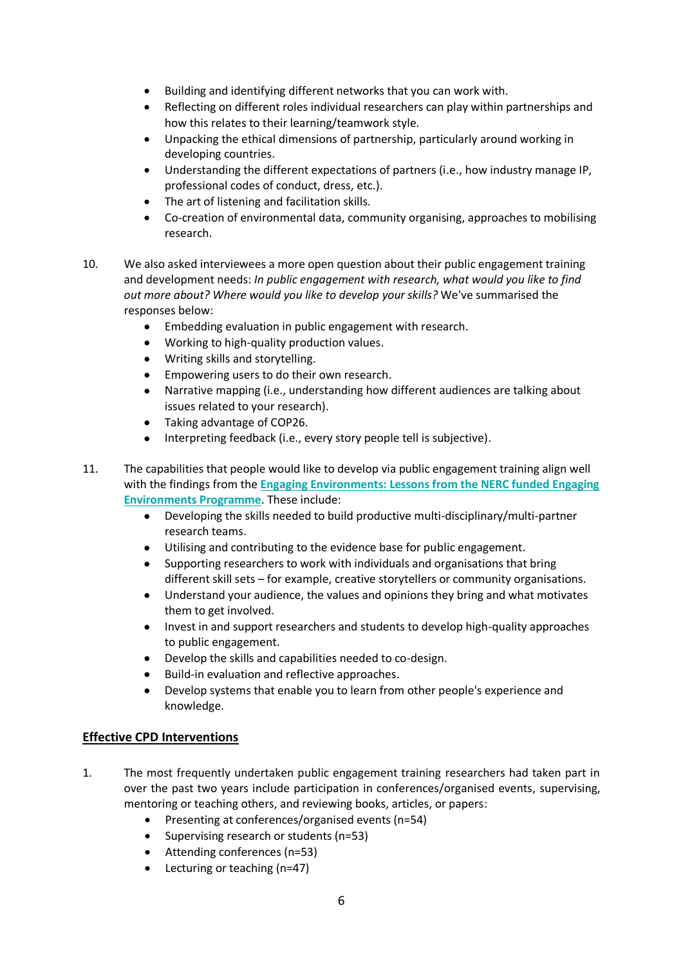- Building and identifying different networks that you can work with.
- Reflecting on different roles individual researchers can play within partnerships and how this relates to their learning/teamwork style.
- Unpacking the ethical dimensions of partnership, particularly around working in developing countries.
- Understanding the different expectations of partners (i.e., how industry manage IP, professional codes of conduct, dress, etc.).
- The art of listening and facilitation skills.
- Co-creation of environmental data, community organising, approaches to mobilising research.
- 10. We also asked interviewees a more open question about their public engagement training and development needs: *In public engagement with research, what would you like to find out more about? Where would you like to develop your skills?* We've summarised the responses below:
	- Embedding evaluation in public engagement with research.
	- Working to high-quality production values.
	- Writing skills and storytelling.
	- Empowering users to do their own research.
	- Narrative mapping (i.e., understanding how different audiences are talking about issues related to your research).
	- Taking advantage of COP26.
	- Interpreting feedback (i.e., every story people tell is subjective).
- 11. The capabilities that people would like to develop via public engagement training align well with the findings from the **[Engaging Environments: Lessons from the NERC funded Engaging](https://www.publicengagement.ac.uk/sites/default/files/publication/engaging_environments_lessons_booklet.pdf)  [Environments Programme](https://www.publicengagement.ac.uk/sites/default/files/publication/engaging_environments_lessons_booklet.pdf)**. These include:
	- Developing the skills needed to build productive multi-disciplinary/multi-partner research teams.
	- Utilising and contributing to the evidence base for public engagement.
	- Supporting researchers to work with individuals and organisations that bring different skill sets – for example, creative storytellers or community organisations.
	- Understand your audience, the values and opinions they bring and what motivates them to get involved.
	- Invest in and support researchers and students to develop high-quality approaches to public engagement.
	- Develop the skills and capabilities needed to co-design.
	- Build-in evaluation and reflective approaches.
	- Develop systems that enable you to learn from other people's experience and knowledge.

#### **Effective CPD Interventions**

- 1. The most frequently undertaken public engagement training researchers had taken part in over the past two years include participation in conferences/organised events, supervising, mentoring or teaching others, and reviewing books, articles, or papers:
	- Presenting at conferences/organised events (n=54)
	- Supervising research or students (n=53)
	- Attending conferences (n=53)
	- Lecturing or teaching (n=47)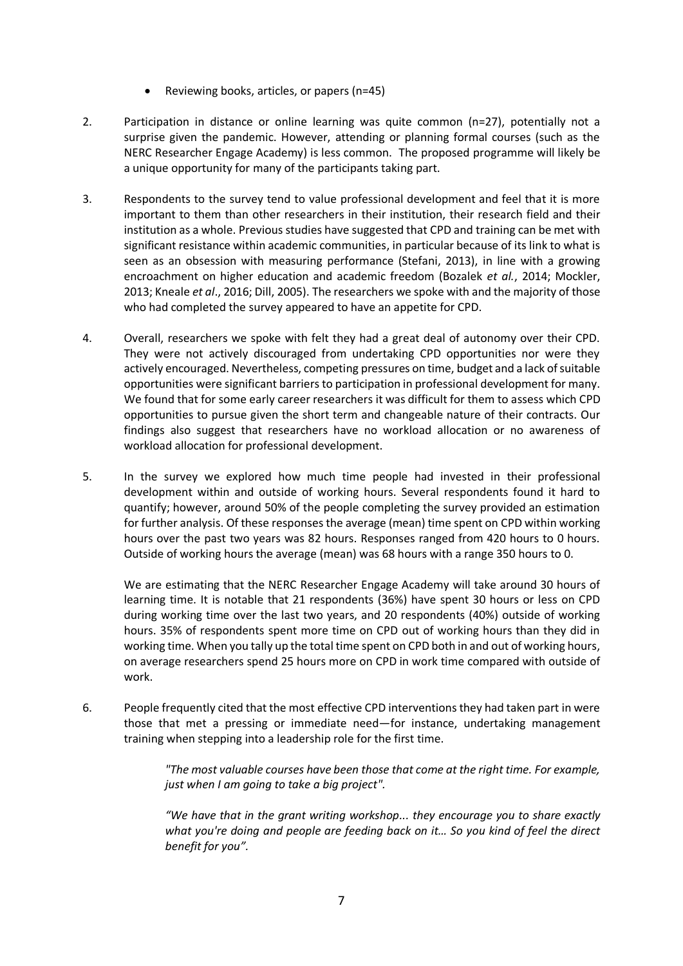- Reviewing books, articles, or papers (n=45)
- 2. Participation in distance or online learning was quite common (n=27), potentially not a surprise given the pandemic. However, attending or planning formal courses (such as the NERC Researcher Engage Academy) is less common. The proposed programme will likely be a unique opportunity for many of the participants taking part.
- 3. Respondents to the survey tend to value professional development and feel that it is more important to them than other researchers in their institution, their research field and their institution as a whole. Previous studies have suggested that CPD and training can be met with significant resistance within academic communities, in particular because of its link to what is seen as an obsession with measuring performance (Stefani, 2013), in line with a growing encroachment on higher education and academic freedom (Bozalek *et al.*, 2014; Mockler, 2013; Kneale *et al*., 2016; Dill, 2005). The researchers we spoke with and the majority of those who had completed the survey appeared to have an appetite for CPD.
- 4. Overall, researchers we spoke with felt they had a great deal of autonomy over their CPD. They were not actively discouraged from undertaking CPD opportunities nor were they actively encouraged. Nevertheless, competing pressures on time, budget and a lack of suitable opportunities were significant barriers to participation in professional development for many. We found that for some early career researchers it was difficult for them to assess which CPD opportunities to pursue given the short term and changeable nature of their contracts. Our findings also suggest that researchers have no workload allocation or no awareness of workload allocation for professional development.
- 5. In the survey we explored how much time people had invested in their professional development within and outside of working hours. Several respondents found it hard to quantify; however, around 50% of the people completing the survey provided an estimation for further analysis. Of these responses the average (mean) time spent on CPD within working hours over the past two years was 82 hours. Responses ranged from 420 hours to 0 hours. Outside of working hours the average (mean) was 68 hours with a range 350 hours to 0.

We are estimating that the NERC Researcher Engage Academy will take around 30 hours of learning time. It is notable that 21 respondents (36%) have spent 30 hours or less on CPD during working time over the last two years, and 20 respondents (40%) outside of working hours. 35% of respondents spent more time on CPD out of working hours than they did in working time. When you tally up the total time spent on CPD both in and out of working hours, on average researchers spend 25 hours more on CPD in work time compared with outside of work.

6. People frequently cited that the most effective CPD interventions they had taken part in were those that met a pressing or immediate need—for instance, undertaking management training when stepping into a leadership role for the first time.

> *"The most valuable courses have been those that come at the right time. For example, just when I am going to take a big project".*

> *"We have that in the grant writing workshop... they encourage you to share exactly what you're doing and people are feeding back on it… So you kind of feel the direct benefit for you".*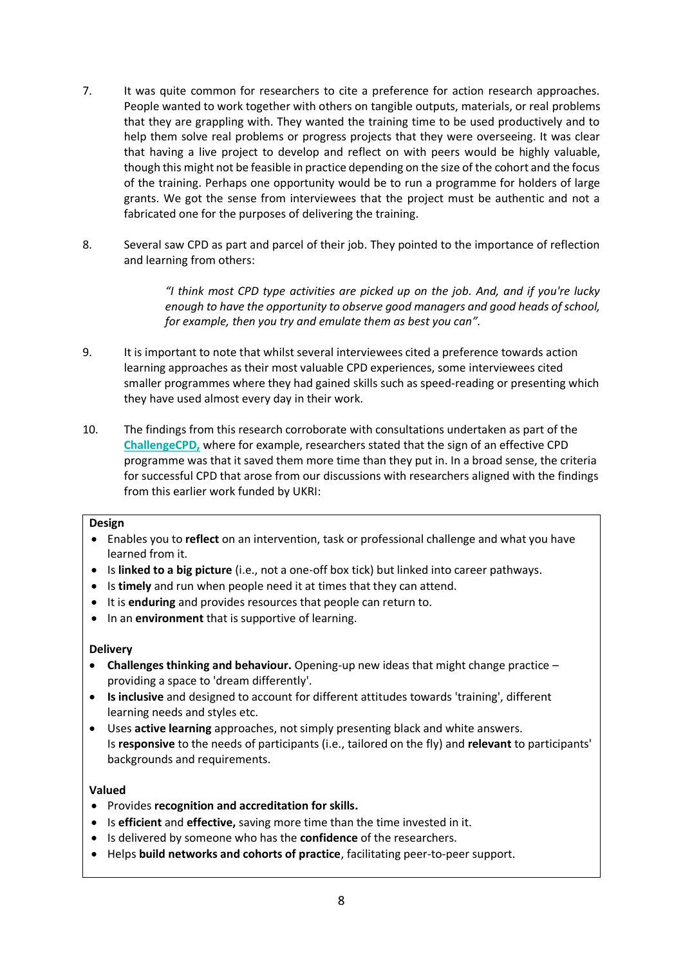- 7. It was quite common for researchers to cite a preference for action research approaches. People wanted to work together with others on tangible outputs, materials, or real problems that they are grappling with. They wanted the training time to be used productively and to help them solve real problems or progress projects that they were overseeing. It was clear that having a live project to develop and reflect on with peers would be highly valuable, though this might not be feasible in practice depending on the size of the cohort and the focus of the training. Perhaps one opportunity would be to run a programme for holders of large grants. We got the sense from interviewees that the project must be authentic and not a fabricated one for the purposes of delivering the training.
- 8. Several saw CPD as part and parcel of their job. They pointed to the importance of reflection and learning from others:

*"I think most CPD type activities are picked up on the job. And, and if you're lucky enough to have the opportunity to observe good managers and good heads of school, for example, then you try and emulate them as best you can".*

- 9. It is important to note that whilst several interviewees cited a preference towards action learning approaches as their most valuable CPD experiences, some interviewees cited smaller programmes where they had gained skills such as speed-reading or presenting which they have used almost every day in their work.
- 10. The findings from this research corroborate with consultations undertaken as part of the **[ChallengeCPD,](https://blogs.bath.ac.uk/publicengagement/2018/09/06/challengecpd-reports/)** where for example, researchers stated that the sign of an effective CPD programme was that it saved them more time than they put in. In a broad sense, the criteria for successful CPD that arose from our discussions with researchers aligned with the findings from this earlier work funded by UKRI:

#### **Design**

- Enables you to **reflect** on an intervention, task or professional challenge and what you have learned from it.
- Is **linked to a big picture** (i.e., not a one-off box tick) but linked into career pathways.
- Is **timely** and run when people need it at times that they can attend.
- It is **enduring** and provides resources that people can return to.
- In an **environment** that is supportive of learning.

#### **Delivery**

- **Challenges thinking and behaviour.** Opening-up new ideas that might change practice providing a space to 'dream differently'.
- **Is inclusive** and designed to account for different attitudes towards 'training', different learning needs and styles etc.
- Uses **active learning** approaches, not simply presenting black and white answers. Is **responsive** to the needs of participants (i.e., tailored on the fly) and **relevant** to participants' backgrounds and requirements.

#### **Valued**

- Provides **recognition and accreditation for skills.**
- Is **efficient** and **effective,** saving more time than the time invested in it.
- Is delivered by someone who has the **confidence** of the researchers.
- Helps **build networks and cohorts of practice**, facilitating peer-to-peer support.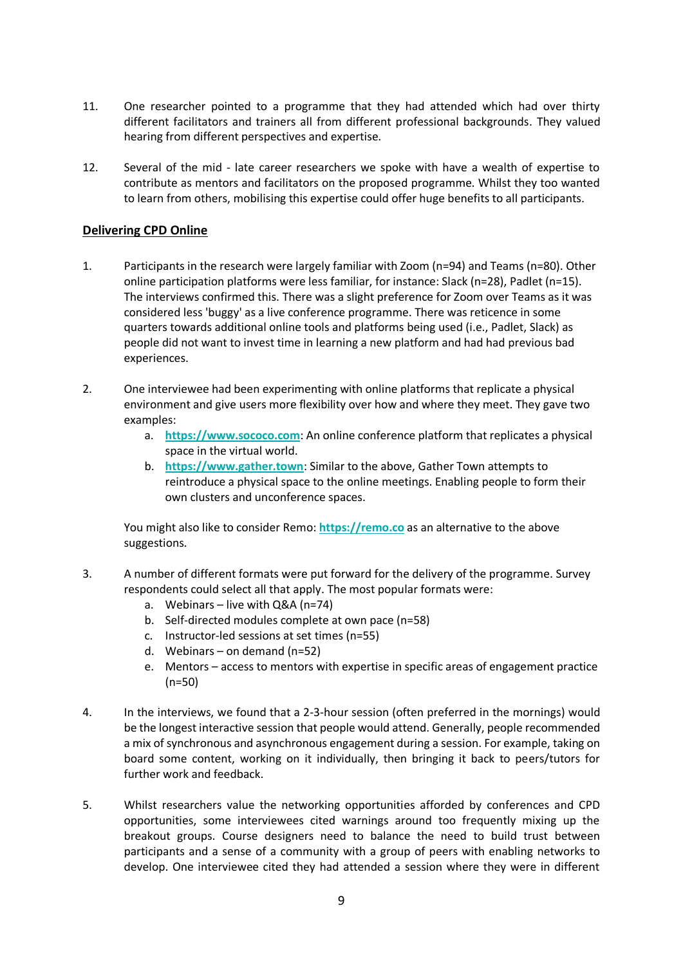- 11. One researcher pointed to a programme that they had attended which had over thirty different facilitators and trainers all from different professional backgrounds. They valued hearing from different perspectives and expertise.
- 12. Several of the mid late career researchers we spoke with have a wealth of expertise to contribute as mentors and facilitators on the proposed programme. Whilst they too wanted to learn from others, mobilising this expertise could offer huge benefits to all participants.

#### **Delivering CPD Online**

- 1. Participants in the research were largely familiar with Zoom (n=94) and Teams (n=80). Other online participation platforms were less familiar, for instance: Slack (n=28), Padlet (n=15). The interviews confirmed this. There was a slight preference for Zoom over Teams as it was considered less 'buggy' as a live conference programme. There was reticence in some quarters towards additional online tools and platforms being used (i.e., Padlet, Slack) as people did not want to invest time in learning a new platform and had had previous bad experiences.
- 2. One interviewee had been experimenting with online platforms that replicate a physical environment and give users more flexibility over how and where they meet. They gave two examples:
	- a. **[https://www.sococo.com](https://www.sococo.com/)**: An online conference platform that replicates a physical space in the virtual world.
	- b. **[https://www.gather.town](https://www.gather.town/)**: Similar to the above, Gather Town attempts to reintroduce a physical space to the online meetings. Enabling people to form their own clusters and unconference spaces.

You might also like to consider Remo: **[https://remo.co](https://remo.co/)** as an alternative to the above suggestions.

- 3. A number of different formats were put forward for the delivery of the programme. Survey respondents could select all that apply. The most popular formats were:
	- a. Webinars live with Q&A (n=74)
	- b. Self-directed modules complete at own pace (n=58)
	- c. Instructor-led sessions at set times (n=55)
	- d. Webinars on demand (n=52)
	- e. Mentors access to mentors with expertise in specific areas of engagement practice (n=50)
- 4. In the interviews, we found that a 2-3-hour session (often preferred in the mornings) would be the longest interactive session that people would attend. Generally, people recommended a mix of synchronous and asynchronous engagement during a session. For example, taking on board some content, working on it individually, then bringing it back to peers/tutors for further work and feedback.
- 5. Whilst researchers value the networking opportunities afforded by conferences and CPD opportunities, some interviewees cited warnings around too frequently mixing up the breakout groups. Course designers need to balance the need to build trust between participants and a sense of a community with a group of peers with enabling networks to develop. One interviewee cited they had attended a session where they were in different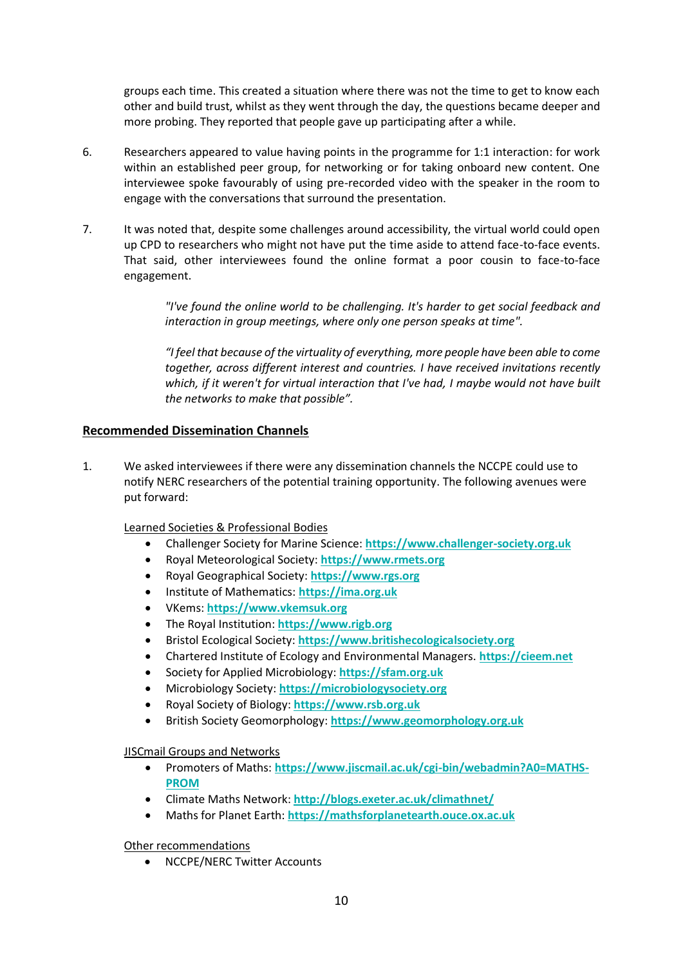groups each time. This created a situation where there was not the time to get to know each other and build trust, whilst as they went through the day, the questions became deeper and more probing. They reported that people gave up participating after a while.

- 6. Researchers appeared to value having points in the programme for 1:1 interaction: for work within an established peer group, for networking or for taking onboard new content. One interviewee spoke favourably of using pre-recorded video with the speaker in the room to engage with the conversations that surround the presentation.
- 7. It was noted that, despite some challenges around accessibility, the virtual world could open up CPD to researchers who might not have put the time aside to attend face-to-face events. That said, other interviewees found the online format a poor cousin to face-to-face engagement.

*"I've found the online world to be challenging. It's harder to get social feedback and interaction in group meetings, where only one person speaks at time".*

*"I feel that because of the virtuality of everything, more people have been able to come together, across different interest and countries. I have received invitations recently which, if it weren't for virtual interaction that I've had, I maybe would not have built the networks to make that possible".*

#### **Recommended Dissemination Channels**

1. We asked interviewees if there were any dissemination channels the NCCPE could use to notify NERC researchers of the potential training opportunity. The following avenues were put forward:

Learned Societies & Professional Bodies

- Challenger Society for Marine Science: **[https://www.challenger-society.org.uk](https://www.challenger-society.org.uk/)**
- Royal Meteorological Society: **[https://www.rmets.org](https://www.rmets.org/)**
- Royal Geographical Society: **[https://www.rgs.org](https://www.rgs.org/)**
- Institute of Mathematics: **[https://ima.org.uk](https://ima.org.uk/)**
- VKems: **[https://www.vkemsuk.org](https://www.vkemsuk.org/)**
- The Royal Institution: **[https://www.rigb.org](https://www.rigb.org/)**
- Bristol Ecological Society: **[https://www.britishecologicalsociety.org](https://www.britishecologicalsociety.org/)**
- Chartered Institute of Ecology and Environmental Managers. **[https://cieem.net](https://cieem.net/)**
- Society for Applied Microbiology: **[https://sfam.org.uk](https://sfam.org.uk/)**
- Microbiology Society: **[https://microbiologysociety.org](https://microbiologysociety.org/)**
- Royal Society of Biology: **[https://www.rsb.org.uk](https://www.rsb.org.uk/)**
- British Society Geomorphology: **[https://www.geomorphology.org.uk](https://www.geomorphology.org.uk/)**

#### JISCmail Groups and Networks

- Promoters of Maths: **[https://www.jiscmail.ac.uk/cgi-bin/webadmin?A0=MATHS-](https://www.jiscmail.ac.uk/cgi-bin/webadmin?A0=MATHS-PROM)[PROM](https://www.jiscmail.ac.uk/cgi-bin/webadmin?A0=MATHS-PROM)**
- Climate Maths Network: **<http://blogs.exeter.ac.uk/climathnet/>**
- Maths for Planet Earth: **[https://mathsforplanetearth.ouce.ox.ac.uk](https://mathsforplanetearth.ouce.ox.ac.uk/)**

Other recommendations

• NCCPE/NERC Twitter Accounts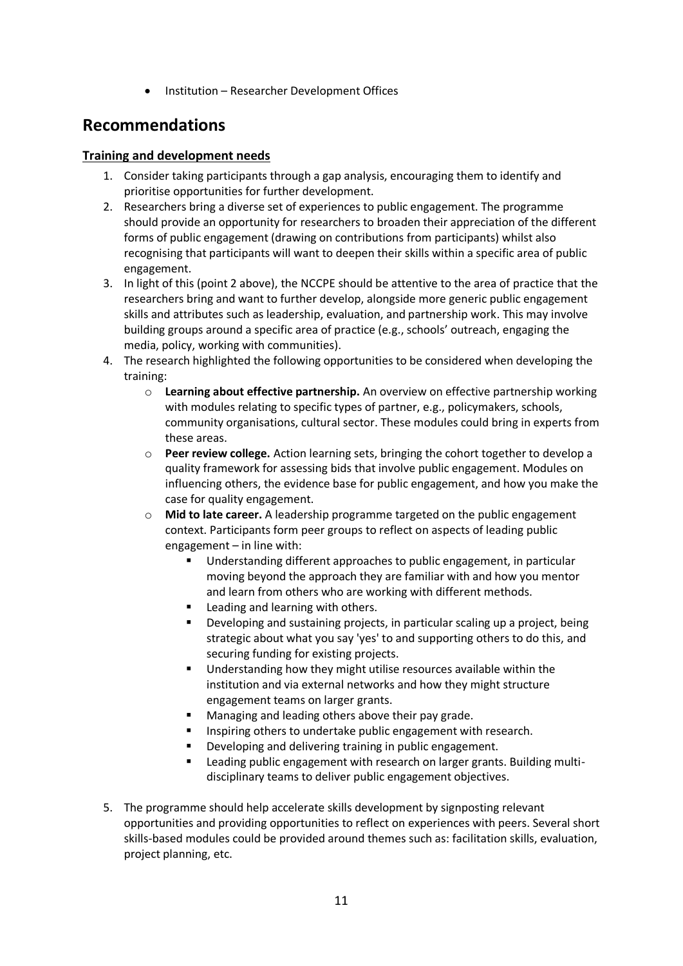• Institution – Researcher Development Offices

### **Recommendations**

#### **Training and development needs**

- 1. Consider taking participants through a gap analysis, encouraging them to identify and prioritise opportunities for further development.
- 2. Researchers bring a diverse set of experiences to public engagement. The programme should provide an opportunity for researchers to broaden their appreciation of the different forms of public engagement (drawing on contributions from participants) whilst also recognising that participants will want to deepen their skills within a specific area of public engagement.
- 3. In light of this (point 2 above), the NCCPE should be attentive to the area of practice that the researchers bring and want to further develop, alongside more generic public engagement skills and attributes such as leadership, evaluation, and partnership work. This may involve building groups around a specific area of practice (e.g., schools' outreach, engaging the media, policy, working with communities).
- 4. The research highlighted the following opportunities to be considered when developing the training:
	- o **Learning about effective partnership.** An overview on effective partnership working with modules relating to specific types of partner, e.g., policymakers, schools, community organisations, cultural sector. These modules could bring in experts from these areas.
	- o **Peer review college.** Action learning sets, bringing the cohort together to develop a quality framework for assessing bids that involve public engagement. Modules on influencing others, the evidence base for public engagement, and how you make the case for quality engagement.
	- o **Mid to late career.** A leadership programme targeted on the public engagement context. Participants form peer groups to reflect on aspects of leading public engagement – in line with:
		- Understanding different approaches to public engagement, in particular moving beyond the approach they are familiar with and how you mentor and learn from others who are working with different methods.
		- Leading and learning with others.
		- Developing and sustaining projects, in particular scaling up a project, being strategic about what you say 'yes' to and supporting others to do this, and securing funding for existing projects.
		- Understanding how they might utilise resources available within the institution and via external networks and how they might structure engagement teams on larger grants.
		- Managing and leading others above their pay grade.
		- Inspiring others to undertake public engagement with research.
		- Developing and delivering training in public engagement.
		- Leading public engagement with research on larger grants. Building multidisciplinary teams to deliver public engagement objectives.
- 5. The programme should help accelerate skills development by signposting relevant opportunities and providing opportunities to reflect on experiences with peers. Several short skills-based modules could be provided around themes such as: facilitation skills, evaluation, project planning, etc.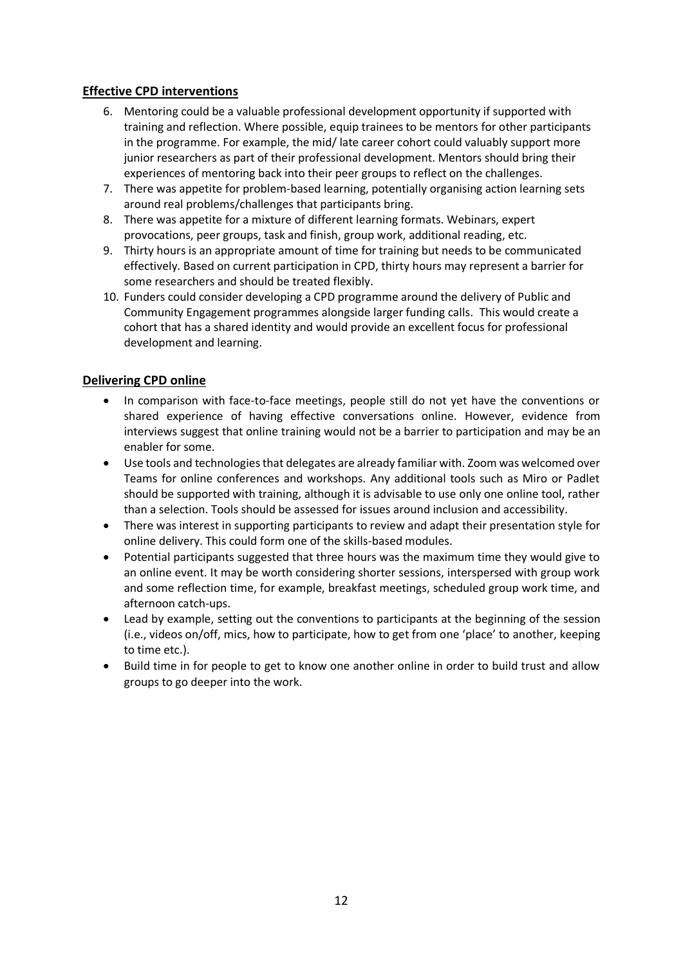#### **Effective CPD interventions**

- 6. Mentoring could be a valuable professional development opportunity if supported with training and reflection. Where possible, equip trainees to be mentors for other participants in the programme. For example, the mid/ late career cohort could valuably support more junior researchers as part of their professional development. Mentors should bring their experiences of mentoring back into their peer groups to reflect on the challenges.
- 7. There was appetite for problem-based learning, potentially organising action learning sets around real problems/challenges that participants bring.
- 8. There was appetite for a mixture of different learning formats. Webinars, expert provocations, peer groups, task and finish, group work, additional reading, etc.
- 9. Thirty hours is an appropriate amount of time for training but needs to be communicated effectively. Based on current participation in CPD, thirty hours may represent a barrier for some researchers and should be treated flexibly.
- 10. Funders could consider developing a CPD programme around the delivery of Public and Community Engagement programmes alongside larger funding calls. This would create a cohort that has a shared identity and would provide an excellent focus for professional development and learning.

#### **Delivering CPD online**

- In comparison with face-to-face meetings, people still do not yet have the conventions or shared experience of having effective conversations online. However, evidence from interviews suggest that online training would not be a barrier to participation and may be an enabler for some.
- Use tools and technologies that delegates are already familiar with. Zoom was welcomed over Teams for online conferences and workshops. Any additional tools such as Miro or Padlet should be supported with training, although it is advisable to use only one online tool, rather than a selection. Tools should be assessed for issues around inclusion and accessibility.
- There was interest in supporting participants to review and adapt their presentation style for online delivery. This could form one of the skills-based modules.
- Potential participants suggested that three hours was the maximum time they would give to an online event. It may be worth considering shorter sessions, interspersed with group work and some reflection time, for example, breakfast meetings, scheduled group work time, and afternoon catch-ups.
- Lead by example, setting out the conventions to participants at the beginning of the session (i.e., videos on/off, mics, how to participate, how to get from one 'place' to another, keeping to time etc.).
- Build time in for people to get to know one another online in order to build trust and allow groups to go deeper into the work.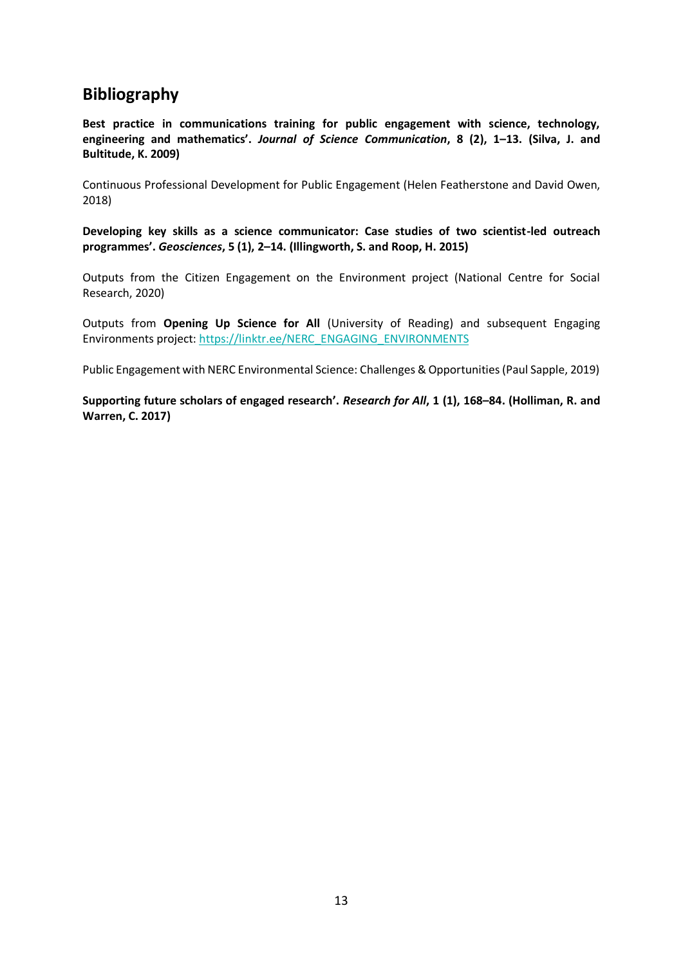### **Bibliography**

**Best practice in communications training for public engagement with science, technology, engineering and mathematics'.** *Journal of Science Communication***, 8 (2), 1–13. (Silva, J. and Bultitude, K. 2009)**

Continuous Professional Development for Public Engagement (Helen Featherstone and David Owen, 2018)

**Developing key skills as a science communicator: Case studies of two scientist-led outreach programmes'.** *Geosciences***, 5 (1), 2–14. (Illingworth, S. and Roop, H. 2015)**

Outputs from the Citizen Engagement on the Environment project (National Centre for Social Research, 2020)

Outputs from **Opening Up Science for All** (University of Reading) and subsequent Engaging Environments project: [https://linktr.ee/NERC\\_ENGAGING\\_ENVIRONMENTS](https://linktr.ee/NERC_ENGAGING_ENVIRONMENTS)

Public Engagement with NERC Environmental Science: Challenges & Opportunities (Paul Sapple, 2019)

**Supporting future scholars of engaged research'.** *Research for All***, 1 (1), 168–84. (Holliman, R. and Warren, C. 2017)**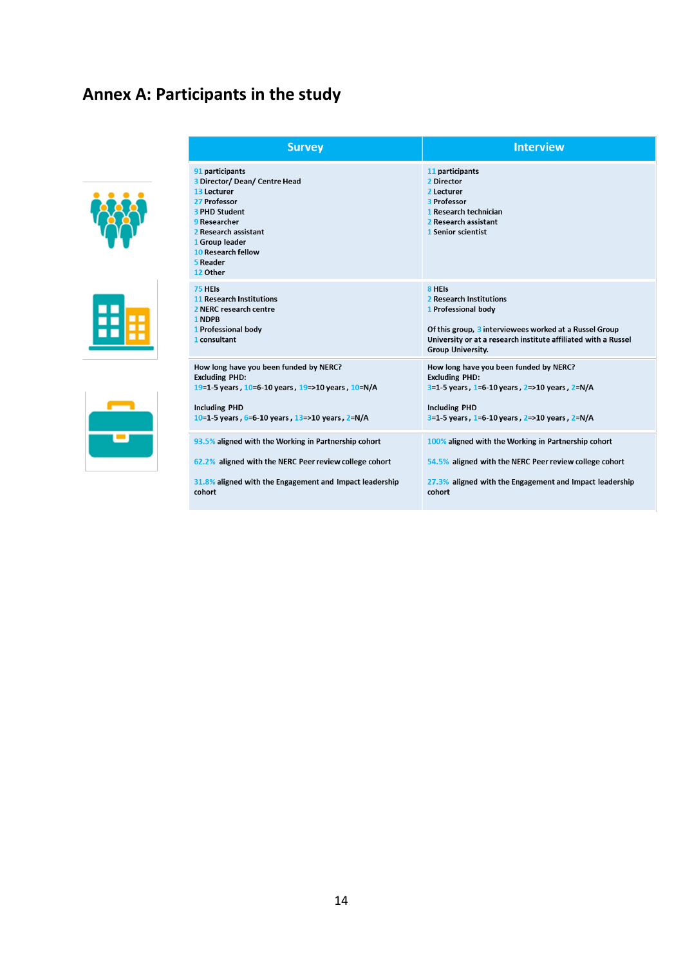## **Annex A: Participants in the study**





| <b>Survey</b>                                                                                                                                                                                                          | <b>Interview</b>                                                                                                                  |
|------------------------------------------------------------------------------------------------------------------------------------------------------------------------------------------------------------------------|-----------------------------------------------------------------------------------------------------------------------------------|
| 91 participants<br>3 Director/ Dean/ Centre Head<br>13 Lecturer<br>27 Professor<br><b>3 PHD Student</b><br>9 Researcher<br>2 Research assistant<br>1 Group leader<br><b>10 Research fellow</b><br>5 Reader<br>12 Other | 11 participants<br>2 Director<br>2 Lecturer<br>3 Professor<br>1 Research technician<br>2 Research assistant<br>1 Senior scientist |
| 75 HEIS                                                                                                                                                                                                                | 8 HEIS                                                                                                                            |
| <b>11 Research Institutions</b>                                                                                                                                                                                        | 2 Research Institutions                                                                                                           |
| 2 NERC research centre                                                                                                                                                                                                 | 1 Professional body                                                                                                               |
| 1 NDPB                                                                                                                                                                                                                 | Of this group, 3 interviewees worked at a Russel Group                                                                            |
| 1 Professional body                                                                                                                                                                                                    | University or at a research institute affiliated with a Russel                                                                    |
| 1 consultant                                                                                                                                                                                                           | <b>Group University.</b>                                                                                                          |
| How long have you been funded by NERC?                                                                                                                                                                                 | How long have you been funded by NERC?                                                                                            |
| <b>Excluding PHD:</b>                                                                                                                                                                                                  | <b>Excluding PHD:</b>                                                                                                             |
| 19=1-5 years, 10=6-10 years, 19=>10 years, 10=N/A                                                                                                                                                                      | $3=1-5$ years, 1=6-10 years, 2=>10 years, 2=N/A                                                                                   |
| <b>Including PHD</b>                                                                                                                                                                                                   | <b>Including PHD</b>                                                                                                              |
| 10=1-5 years, 6=6-10 years, 13=>10 years, 2=N/A                                                                                                                                                                        | $3=1-5$ years, 1=6-10 years, 2=>10 years, 2=N/A                                                                                   |
| 93.5% aligned with the Working in Partnership cohort                                                                                                                                                                   | 100% aligned with the Working in Partnership cohort                                                                               |
| 62.2% aligned with the NERC Peer review college cohort                                                                                                                                                                 | 54.5% aligned with the NERC Peer review college cohort                                                                            |
| 31.8% aligned with the Engagement and Impact leadership                                                                                                                                                                | 27.3% aligned with the Engagement and Impact leadership                                                                           |
| cohort                                                                                                                                                                                                                 | cohort                                                                                                                            |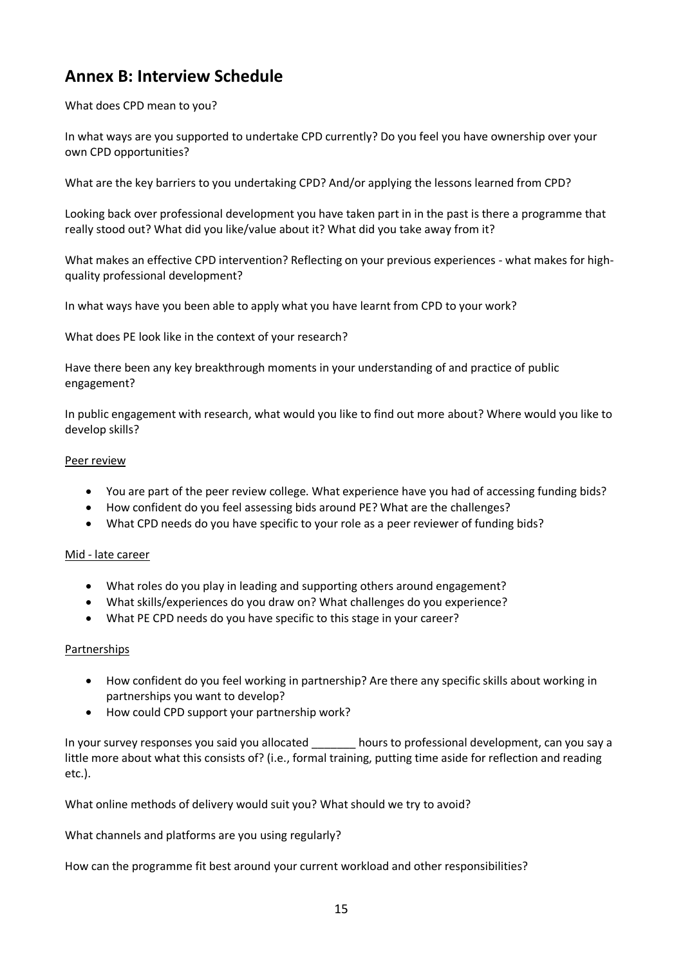## **Annex B: Interview Schedule**

What does CPD mean to you?

In what ways are you supported to undertake CPD currently? Do you feel you have ownership over your own CPD opportunities?

What are the key barriers to you undertaking CPD? And/or applying the lessons learned from CPD?

Looking back over professional development you have taken part in in the past is there a programme that really stood out? What did you like/value about it? What did you take away from it?

What makes an effective CPD intervention? Reflecting on your previous experiences - what makes for highquality professional development?

In what ways have you been able to apply what you have learnt from CPD to your work?

What does PE look like in the context of your research?

Have there been any key breakthrough moments in your understanding of and practice of public engagement?

In public engagement with research, what would you like to find out more about? Where would you like to develop skills?

#### Peer review

- You are part of the peer review college. What experience have you had of accessing funding bids?
- How confident do you feel assessing bids around PE? What are the challenges?
- What CPD needs do you have specific to your role as a peer reviewer of funding bids?

#### Mid - late career

- What roles do you play in leading and supporting others around engagement?
- What skills/experiences do you draw on? What challenges do you experience?
- What PE CPD needs do you have specific to this stage in your career?

#### Partnerships

- How confident do you feel working in partnership? Are there any specific skills about working in partnerships you want to develop?
- How could CPD support your partnership work?

In your survey responses you said you allocated \_\_\_\_\_\_\_ hours to professional development, can you say a little more about what this consists of? (i.e., formal training, putting time aside for reflection and reading etc.).

What online methods of delivery would suit you? What should we try to avoid?

What channels and platforms are you using regularly?

How can the programme fit best around your current workload and other responsibilities?